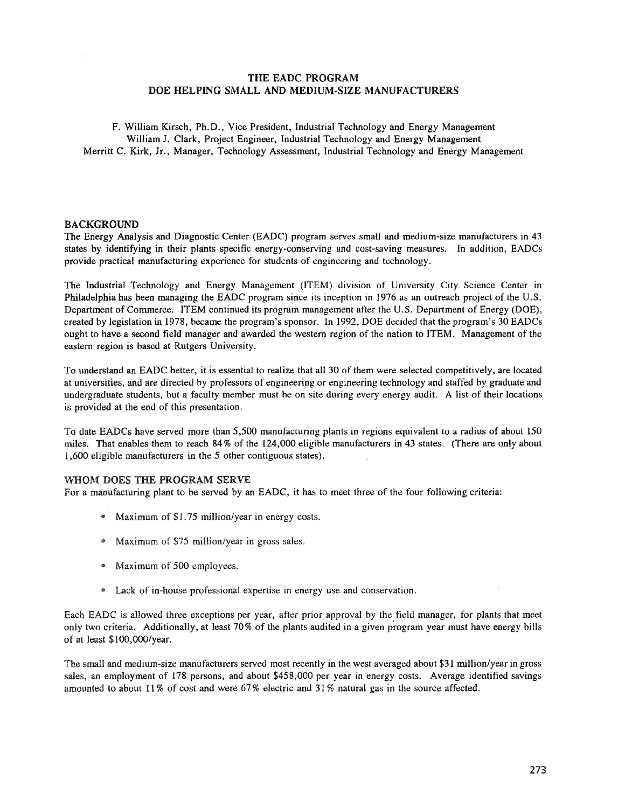### THE EADC PROGRAM DOE HELPING SMALL AND MEDIUM-SIZE MANUFACTURERS

F. William Kirsch, Ph.D., Vice President, Industrial Technology and Energy Management William J. Clark, Project Engineer, Industrial Technology and Energy Management Merritt C. Kirk, Jr., Manager, Technology Assessment, Industrial Technology and Energy Management

#### BACKGROUND

The Energy Analysis and Diagnostic Center (EADC) program serves small and medium-size manufacturers in 43 states by identifying in their plants specific energy-conserving and cost-saving measures. In addition, EADCs provide practical manufacturing experience for students of engineering and technology.

The Industrial Technology and Energy Management (ITEM) division of University City Science Center in Philadelphia has been managing the EADC program since its inception in 1976 as an outreach project of the U.s. Department of Commerce. ITEM continued its program management after the U.S. Department of Energy (DOE), created by legislation in 1978, became the program's sponsor. In 1992, DOE decided that the program's 30 EADCs ought to have a second field manager and awarded the western region of the nation to ITEM. Management of the eastern region is based at Rutgers University.

To understand an EADC better, it is essential to realize that all 30 of them were selected competitively, are located at universities, and are directed by professors of engineering or engineering technology and staffed by graduate and undergraduate students, but a faculty member must be on site during every energy audit. A list of their locations is provided at the end of this presentation.

To date EADCs have served more than 5,500 manufacturing plants in regions equivalent to a radius of about 150 miles. That enables them to reach 84% of the 124,000 eligible manufacturers in 43 states. (There are only about 1,600 eligible manufacturers in the 5 other contiguous states).

### WHOM DOES THE PROGRAM SERVE

For a manufacturing plant to be served by an EADC, it has to meet three of the four following criteria:

- e Maximum of \$1.75 million/year in energy costs.
- Maximum of  $$75$  million/year in gross sales.
- @ Maximum of 500 employees.
- <sup>e</sup> Lack of in-house professional expertise in energy use and conservation.

Each EADC is allowed three exceptions per year, after prior approval by the field manager, for plants that meet only two criteria. Additionally, at least  $70\%$  of the plants audited in a given program year must have energy bills of at least \$100,OOO/year.

The small and medium-size manufacturers served most recently in the west averaged about \$31 million/year in gross sales, an employment of 178 persons, and about \$458,000 per year in energy costs. Average identified savings amounted to about 11 % of cost and were 67 % electric and 31 % natural gas in the source affected.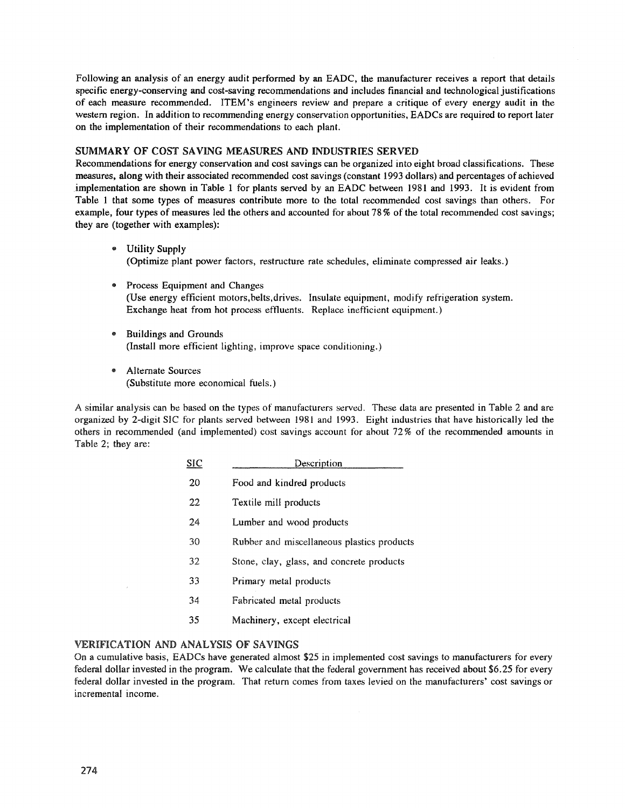Following an analysis of an energy audit performed by an EADC, the manufacturer receives a report that details specific energy-conserving and cost-saving recommendations and includes financial and technological justifications of each measure recommended. ITEM's engineers review and prepare a critique of every energy audit in the western region. In addition to recommending energy conservation opportunities, EADCs are required to report later on the implementation of their recommendations to each plant.

### SUMMARY OF COST SAVING MEASURES AND INDUSTRIES SERVED

Recommendations for energy conservation and cost savings can be organized into eight broad classifications. These measures, along with their associated recommended cost savings (constant 1993 dollars) and percentages of achieved .implementation are shown in Table 1 for plants served by an EADC between 1981 and 1993. It is evident from Table 1 that some types of measures contribute more to the total recommended cost savings than others. For example, four types of measures led the others and accounted for about 78 % of the total recommended cost savings; they are (together with examples):

- .. Utility Supply (Optimize plant power factors, restructure rate schedules, eliminate compressed air leaks.)
- Process Equipment and Changes (Use energy efficient motors, belts, drives. Insulate equipment, modify refrigeration system. Exchange heat from hot process effluents. Replace inefficient equipment.)
- .. Buildings and Grounds (Install more efficient lighting, improve space conditioning.)
- Alternate Sources (Substitute more economical fuels.)

A similar analysis can be based on the types of rnanufacturers served. These data are presented in Table 2 and are organized by 2-digit SIC for plants served between 1981 and 1993. Eight industries that have historically led the others in recommended (and implemented) cost savings account for ahout 72 % of the recommended amounts in Table 2; they are:

| <b>SIC</b> | Description                                |
|------------|--------------------------------------------|
| 20         | Food and kindred products                  |
| 22         | Textile mill products                      |
| 24         | Lumber and wood products                   |
| 30         | Rubber and miscellaneous plastics products |
| 32         | Stone, clay, glass, and concrete products  |
| 33         | Primary metal products                     |
| 34         | Fabricated metal products                  |
| 35         | Machinery, except electrical               |
|            |                                            |

## VERIFICATION AND ANALYSIS OF SAVINGS

On a cumulative basis, EADCs have generated almost \$25 in implemented cost savings to manufacturers for every federal dollar invested in the program. We calculate that the federal government has received about \$6.25 for every federal dollar invested in the program. That return comes from taxes levied on the manufacturers' cost savings or incremental income.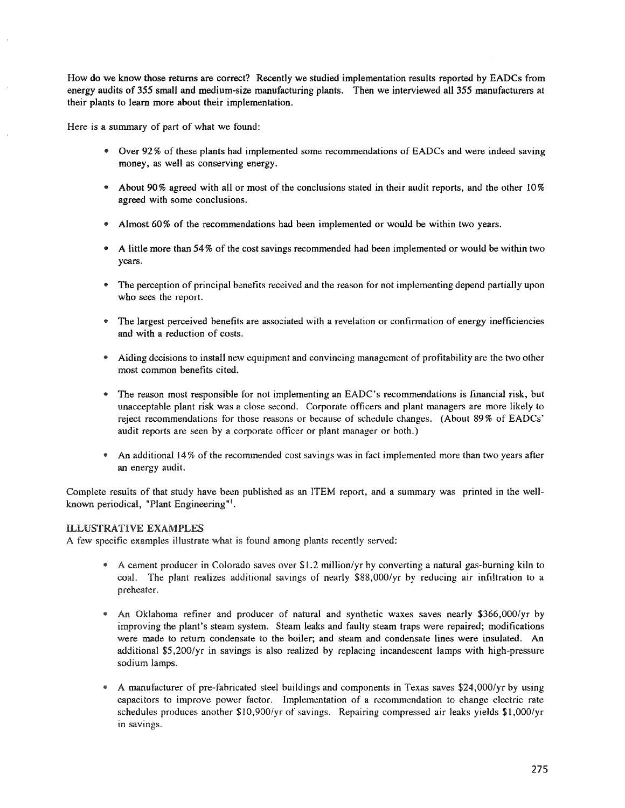How do we know those returns are correct? Recently we studied implementation results reported by EADes from energy audits of 355 small and medium-size manufacturing plants. Then we interviewed all 355 manufacturers at their plants to learn more about their implementation.

Here is a summary of part of what we found:

- Over 92% of these plants had implemented some recommendations of EADCs and were indeed saving money, as well as conserving energy.
- About 90% agreed with all or most of the conclusions stated in their audit reports, and the other 10% agreed with some conclusions.
- Almost 60% of the recommendations had been implemented or would be within two years.
- A little more than 54% of the cost savings recommended had been implemented or would be within two years.
- The perception of principal benefits received and the reason for not implementing depend partially upon who sees the report.
- The largest perceived benefits are associated with a revelation or confirmation of energy inefficiencies and with a reduction of costs.
- @ Aiding decisions to instaH new equipment and convincing management of profitability are the two other most common benefits cited.
- @ The reason most responsible for not impletnenting an EADC's recommendations is financial risk, but unacceptable plant risk was a close second. Corporate officers and plant managers are more likely to reject recommendations for those reasons or because of schedule changes. (About 89% of EADCs' audit reports are seen by a corporate officer or plant manager or both.)
- An additional 14% of the recommended cost savings was in fact implemented more than two years after an energy audit.

Complete results of that study have been published as an ITEM report, and a summary was printed in the wellknown periodical, "Plant Engineering"l.

### ILLUSTRATIVE EXAMPLES

A few specific examples illustrate what is found among plants recently served:

- $\bullet$  A cement producer in Colorado saves over \$1.2 million/yr by converting a natural gas-burning kiln to coaL The plant realizes additional savings of nearly \$88,OOO/yr by reducing air infiltration to a preheater.
- @ An Oklahoma refiner and producer of natural and synthetic waxes saves nearly \$366,OOO/yr by improving the plant's steam system. Steam leaks and faulty steam traps were repaired; modifications were made to return condensate to the boiler; and steam and condensate lines were insulated. An additional \$5,200/yr in savings is also realized by replacing incandescent lamps with high-pressure sodium lamps.
- @ A manufacturer of pre-fabricated steel buildings and components in Texas saves \$24,000/yr by using capacitors to improve power factor. Implementation of a recommendation to change electric rate schedules produces another \$10,900/yr of savings. Repairing compressed air leaks yields \$1,000/yr in savings.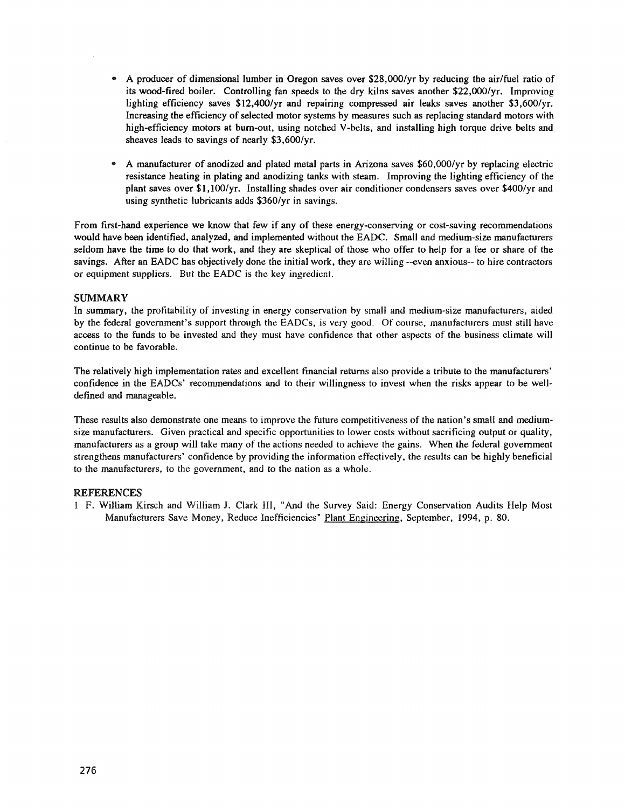- A producer of dimensional lumber in Oregon saves over \$28,OOO/yr by reducing the air/fuel ratio of its wood-fired boiler. Controlling fan speeds to the dry kilns saves another \$22,OOO/yr. Improving lighting efficiency saves \$12,400/yr and repairing compressed air leaks saves another \$3,600/yr. Increasing the efficiency of selected motor systems by measures such as replacing standard motors with high-efficiency motors at burn-out, using notched V-belts, and installing high torque drive belts and sheaves leads to savings of nearly \$3,600/yr.
- <sup>e</sup> A manufacturer of anodized and plated metal parts in Arizona saves \$60,OOO/yr by replacing electric resistance heating in plating and anodizing tanks with steam. Improving the lighting efficiency of the plant saves over \$1,IOO/yr. Installing shades over air conditioner condensers saves over \$400/yr and using synthetic lubricants adds \$360/yr in savings.

From first-hand experience we know that few if any of these energy-conserving or cost-saving recommendations would have been identified, analyzed, and implemented without the EADC. Small and medium-size manufacturers seldom have the time to do that work, and they are skeptical of those who offer to help for a fee or share of the savings. After an EADC has objectively done the initial work, they are willing --even anxious-- to hire contractors or equipment suppliers. But the EADC is the key ingredient.

### SUMMARY

In summary, the profitability of investing in energy conservation by small and medium-size manufacturers, aided by the federal government's support through the EADes, is very good. Of course, manufacturers must still have access to the funds to be invested and they must have confidence that other aspects of the business climate will continue to be favorable.

The relatively high implementation rates and excellent financial returns also provide a tribute to the manufacturers' confidence in the EADCs' recommendations and to their willingness to invest when the risks appear to be welldefined and manageable.

These results also demonstrate one means to improve the future competitiveness of the nation's small and mediumsize manufacturers. Given practical and specific opportunities to lower costs without sacrificing output or quality, manufacturers as a group will take many of the actions needed to achieve the gains. When the federal government strengthens manufacturers' confidence by providing the information effectively, the results can be highly beneficial to the manufacturers, to the government, and to the nation as a whole.

#### REFERENCES

1 F. William Kirsch and William J.. Clark III, "And the Survey Said: Energy Conservation Audits Help Most Manufacturers Save Money, Reduce Inefficiencies" Plant Engineering, September, 1994, p. 80.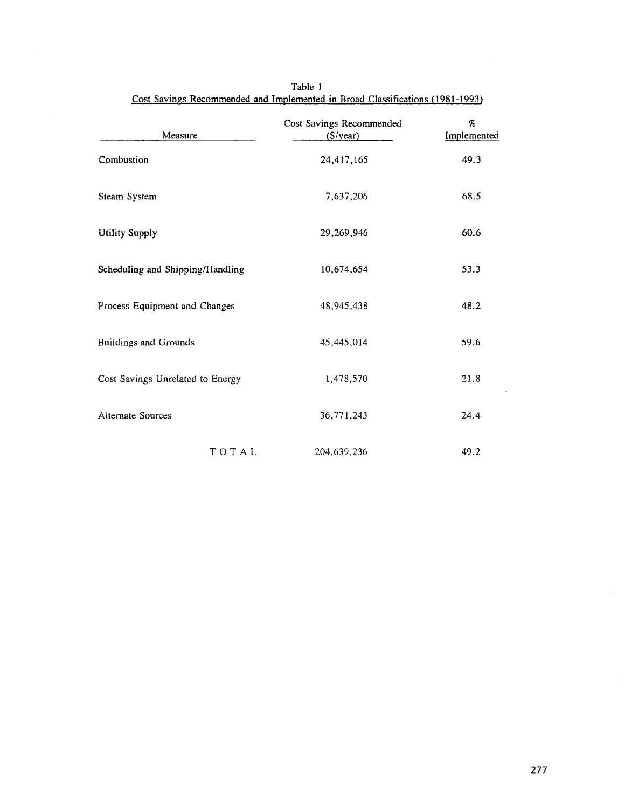| Measure                          | Cost Savings Recommended<br>$(\sqrt[6]{ year)$ | %<br>Implemented |
|----------------------------------|------------------------------------------------|------------------|
| Combustion                       | 24,417,165                                     | 49.3             |
| Steam System                     | 7,637,206                                      | 68.5             |
| <b>Utility Supply</b>            | 29,269,946                                     | 60.6             |
| Scheduling and Shipping/Handling | 10,674,654                                     | 53.3             |
| Process Equipment and Changes    | 48,945,438                                     | 48.2             |
| <b>Buildings and Grounds</b>     | 45,445,014                                     | 59.6             |
| Cost Savings Unrelated to Energy | 1,478,570                                      | 21.8             |
| Alternate Sources                | 36,771,243                                     | 24.4             |
| TOTAL                            | 204,639,236                                    | 49.2             |

Table 1 Cost Savings Recommended and Implemented in Broad Classifications (1981-1993)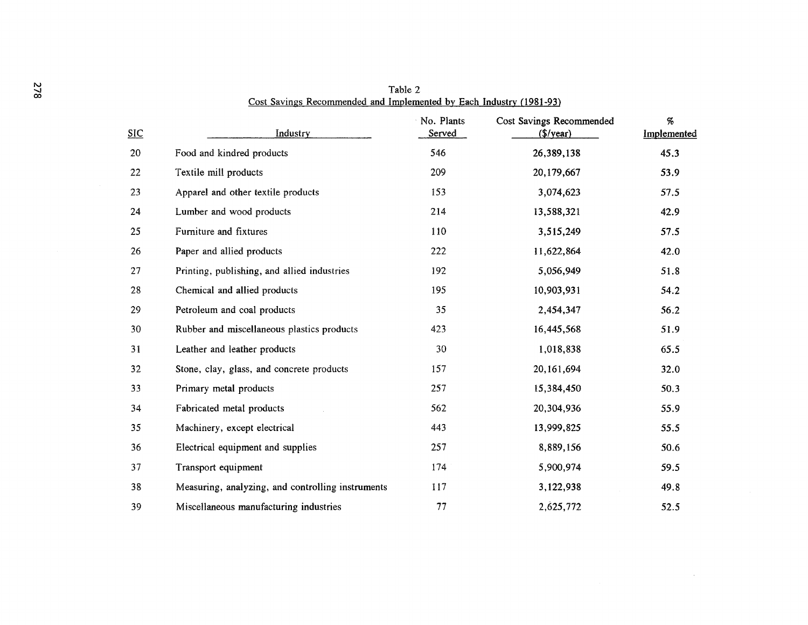| <b>SIC</b> | Industry                                          | No. Plants<br>Served | Cost Savings Recommended<br>$$$ /year) | %<br>Implemented |
|------------|---------------------------------------------------|----------------------|----------------------------------------|------------------|
| 20         | Food and kindred products                         | 546                  | 26,389,138                             | 45.3             |
| 22         | Textile mill products                             | 209                  | 20,179,667                             | 53.9             |
| 23         | Apparel and other textile products                | 153                  | 3,074,623                              | 57.5             |
| 24         | Lumber and wood products                          | 214                  | 13,588,321                             | 42.9             |
| 25         | Furniture and fixtures                            | 110                  | 3,515,249                              | 57.5             |
| 26         | Paper and allied products                         | 222                  | 11,622,864                             | 42.0             |
| 27         | Printing, publishing, and allied industries       | 192                  | 5,056,949                              | 51.8             |
| 28         | Chemical and allied products                      | 195                  | 10,903,931                             | 54.2             |
| 29         | Petroleum and coal products                       | 35                   | 2,454,347                              | 56.2             |
| 30         | Rubber and miscellaneous plastics products        | 423                  | 16,445,568                             | 51.9             |
| 31         | Leather and leather products                      | 30                   | 1,018,838                              | 65.5             |
| 32         | Stone, clay, glass, and concrete products         | 157                  | 20, 161, 694                           | 32.0             |
| 33         | Primary metal products                            | 257                  | 15,384,450                             | 50.3             |
| 34         | Fabricated metal products                         | 562                  | 20,304,936                             | 55.9             |
| 35         | Machinery, except electrical                      | 443                  | 13,999,825                             | 55.5             |
| 36         | Electrical equipment and supplies                 | 257                  | 8,889,156                              | 50.6             |
| 37         | Transport equipment                               | 174                  | 5,900,974                              | 59.5             |
| 38         | Measuring, analyzing, and controlling instruments | 117                  | 3,122,938                              | 49.8             |
| 39         | Miscellaneous manufacturing industries            | 77                   | 2,625,772                              | 52.5             |

 $\sim$ 

Table 2<br>Cost Savings Recommended and Implemented by Each Industry (1981-93)